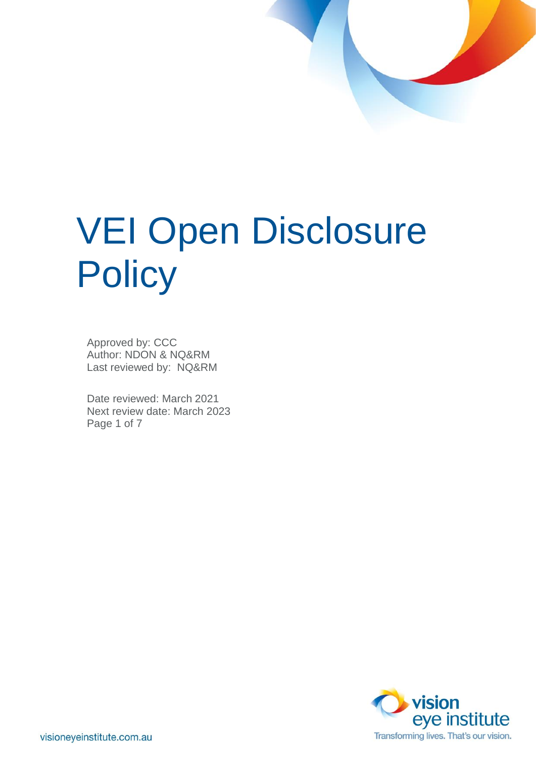# VEI Open Disclosure **Policy**

Approved by: CCC Author: NDON & NQ&RM Last reviewed by: NQ&RM

Date reviewed: March 2021 Next review date: March 2023 Page 1 of 7

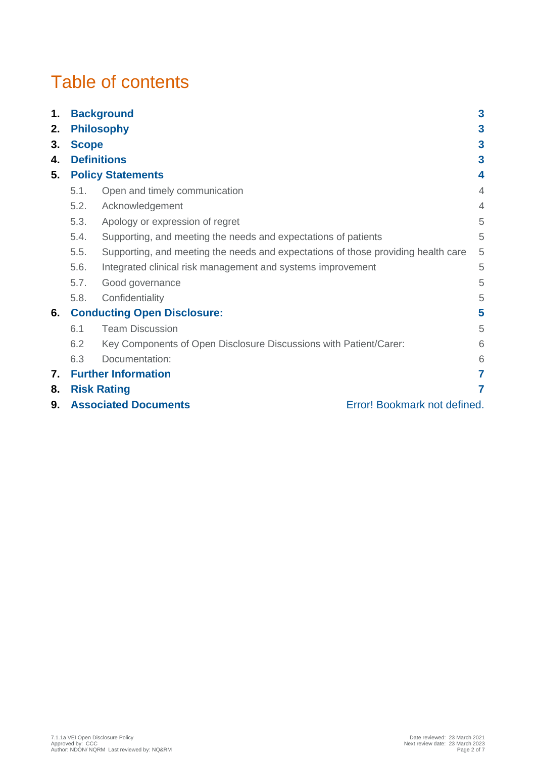# Table of contents

| 1. |                                                             | $\mathbf{3}$<br><b>Background</b>                                                 |                |  |
|----|-------------------------------------------------------------|-----------------------------------------------------------------------------------|----------------|--|
| 2. | <b>Philosophy</b>                                           |                                                                                   |                |  |
| 3. | <b>Scope</b>                                                |                                                                                   |                |  |
| 4. | <b>Definitions</b>                                          |                                                                                   |                |  |
| 5. | <b>Policy Statements</b>                                    |                                                                                   |                |  |
|    | 5.1.                                                        | Open and timely communication                                                     | $\overline{4}$ |  |
|    | 5.2.                                                        | Acknowledgement                                                                   | $\overline{4}$ |  |
|    | 5.3.                                                        | Apology or expression of regret                                                   | 5              |  |
|    | 5.4.                                                        | Supporting, and meeting the needs and expectations of patients                    | 5              |  |
|    | 5.5.                                                        | Supporting, and meeting the needs and expectations of those providing health care | 5              |  |
|    | 5.6.                                                        | Integrated clinical risk management and systems improvement                       | 5              |  |
|    | 5.7.                                                        | Good governance                                                                   | 5              |  |
|    | 5.8.                                                        | Confidentiality                                                                   | 5              |  |
| 6. | <b>Conducting Open Disclosure:</b>                          |                                                                                   | 5              |  |
|    | 6.1                                                         | <b>Team Discussion</b>                                                            | 5              |  |
|    | 6.2                                                         | Key Components of Open Disclosure Discussions with Patient/Carer:                 | 6              |  |
|    | 6.3                                                         | Documentation:                                                                    | 6              |  |
| 7. | <b>Further Information</b>                                  |                                                                                   |                |  |
| 8. | <b>Risk Rating</b>                                          |                                                                                   |                |  |
| 9. | <b>Associated Documents</b><br>Error! Bookmark not defined. |                                                                                   |                |  |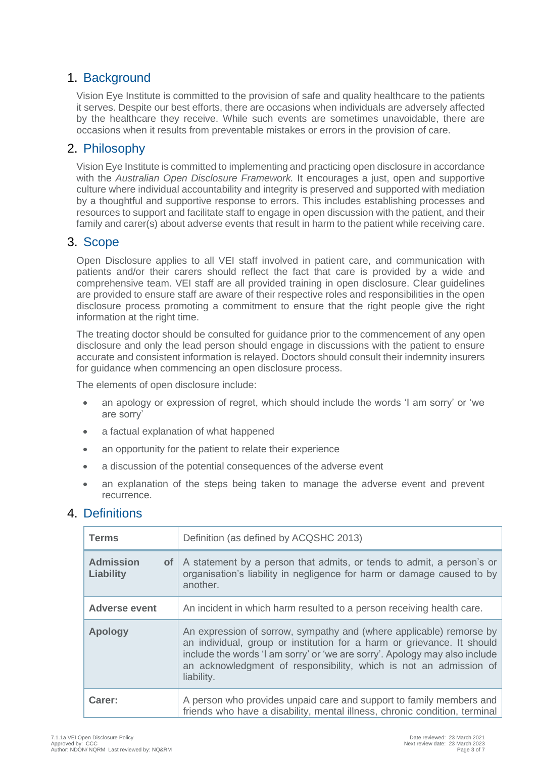# 1. Background

Vision Eye Institute is committed to the provision of safe and quality healthcare to the patients it serves. Despite our best efforts, there are occasions when individuals are adversely affected by the healthcare they receive. While such events are sometimes unavoidable, there are occasions when it results from preventable mistakes or errors in the provision of care.

# 2. Philosophy

Vision Eye Institute is committed to implementing and practicing open disclosure in accordance with the *Australian Open Disclosure Framework.* It encourages a just, open and supportive culture where individual accountability and integrity is preserved and supported with mediation by a thoughtful and supportive response to errors. This includes establishing processes and resources to support and facilitate staff to engage in open discussion with the patient, and their family and carer(s) about adverse events that result in harm to the patient while receiving care.

# 3. Scope

Open Disclosure applies to all VEI staff involved in patient care, and communication with patients and/or their carers should reflect the fact that care is provided by a wide and comprehensive team. VEI staff are all provided training in open disclosure. Clear guidelines are provided to ensure staff are aware of their respective roles and responsibilities in the open disclosure process promoting a commitment to ensure that the right people give the right information at the right time.

The treating doctor should be consulted for guidance prior to the commencement of any open disclosure and only the lead person should engage in discussions with the patient to ensure accurate and consistent information is relayed. Doctors should consult their indemnity insurers for guidance when commencing an open disclosure process.

The elements of open disclosure include:

- an apology or expression of regret, which should include the words 'I am sorry' or 'we are sorry'
- a factual explanation of what happened
- an opportunity for the patient to relate their experience
- a discussion of the potential consequences of the adverse event
- an explanation of the steps being taken to manage the adverse event and prevent recurrence.

# 4. Definitions

| <b>Terms</b>                                  | Definition (as defined by ACQSHC 2013)                                                                                                                                                                                                                                                                         |
|-----------------------------------------------|----------------------------------------------------------------------------------------------------------------------------------------------------------------------------------------------------------------------------------------------------------------------------------------------------------------|
| <b>Admission</b><br>$of \sqrt{}$<br>Liability | A statement by a person that admits, or tends to admit, a person's or<br>organisation's liability in negligence for harm or damage caused to by<br>another.                                                                                                                                                    |
| <b>Adverse event</b>                          | An incident in which harm resulted to a person receiving health care.                                                                                                                                                                                                                                          |
| <b>Apology</b>                                | An expression of sorrow, sympathy and (where applicable) remorse by<br>an individual, group or institution for a harm or grievance. It should<br>include the words 'I am sorry' or 'we are sorry'. Apology may also include<br>an acknowledgment of responsibility, which is not an admission of<br>liability. |
| Carer:                                        | A person who provides unpaid care and support to family members and<br>friends who have a disability, mental illness, chronic condition, terminal                                                                                                                                                              |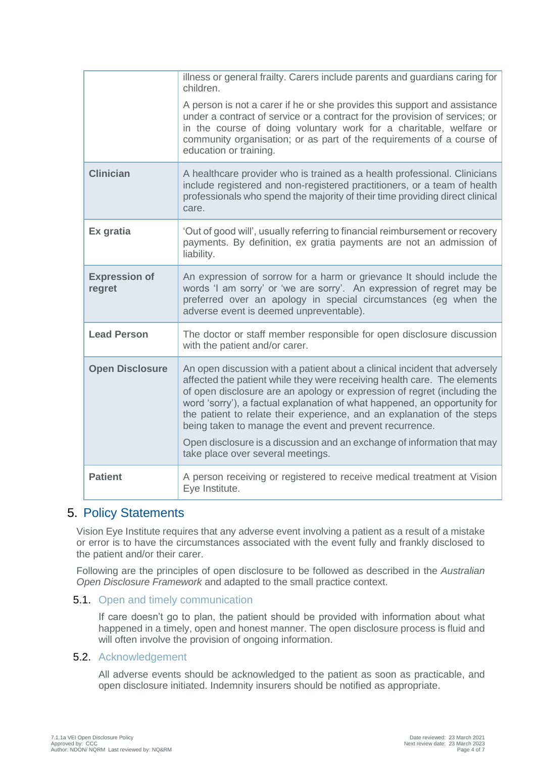|                                | illness or general frailty. Carers include parents and guardians caring for<br>children.                                                                                                                                                                                                                                                                                                                                                                                                                                         |
|--------------------------------|----------------------------------------------------------------------------------------------------------------------------------------------------------------------------------------------------------------------------------------------------------------------------------------------------------------------------------------------------------------------------------------------------------------------------------------------------------------------------------------------------------------------------------|
|                                | A person is not a carer if he or she provides this support and assistance<br>under a contract of service or a contract for the provision of services; or<br>in the course of doing voluntary work for a charitable, welfare or<br>community organisation; or as part of the requirements of a course of<br>education or training.                                                                                                                                                                                                |
| <b>Clinician</b>               | A healthcare provider who is trained as a health professional. Clinicians<br>include registered and non-registered practitioners, or a team of health<br>professionals who spend the majority of their time providing direct clinical<br>care.                                                                                                                                                                                                                                                                                   |
| Ex gratia                      | 'Out of good will', usually referring to financial reimbursement or recovery<br>payments. By definition, ex gratia payments are not an admission of<br>liability.                                                                                                                                                                                                                                                                                                                                                                |
| <b>Expression of</b><br>regret | An expression of sorrow for a harm or grievance It should include the<br>words 'I am sorry' or 'we are sorry'. An expression of regret may be<br>preferred over an apology in special circumstances (eg when the<br>adverse event is deemed unpreventable).                                                                                                                                                                                                                                                                      |
| <b>Lead Person</b>             | The doctor or staff member responsible for open disclosure discussion<br>with the patient and/or carer.                                                                                                                                                                                                                                                                                                                                                                                                                          |
| <b>Open Disclosure</b>         | An open discussion with a patient about a clinical incident that adversely<br>affected the patient while they were receiving health care. The elements<br>of open disclosure are an apology or expression of regret (including the<br>word 'sorry'), a factual explanation of what happened, an opportunity for<br>the patient to relate their experience, and an explanation of the steps<br>being taken to manage the event and prevent recurrence.<br>Open disclosure is a discussion and an exchange of information that may |
|                                | take place over several meetings.                                                                                                                                                                                                                                                                                                                                                                                                                                                                                                |
| <b>Patient</b>                 | A person receiving or registered to receive medical treatment at Vision<br>Eye Institute.                                                                                                                                                                                                                                                                                                                                                                                                                                        |

# 5. Policy Statements

Vision Eye Institute requires that any adverse event involving a patient as a result of a mistake or error is to have the circumstances associated with the event fully and frankly disclosed to the patient and/or their carer.

Following are the principles of open disclosure to be followed as described in the *Australian Open Disclosure Framework* and adapted to the small practice context.

#### 5.1. Open and timely communication

If care doesn't go to plan, the patient should be provided with information about what happened in a timely, open and honest manner. The open disclosure process is fluid and will often involve the provision of ongoing information.

#### 5.2. Acknowledgement

All adverse events should be acknowledged to the patient as soon as practicable, and open disclosure initiated. Indemnity insurers should be notified as appropriate.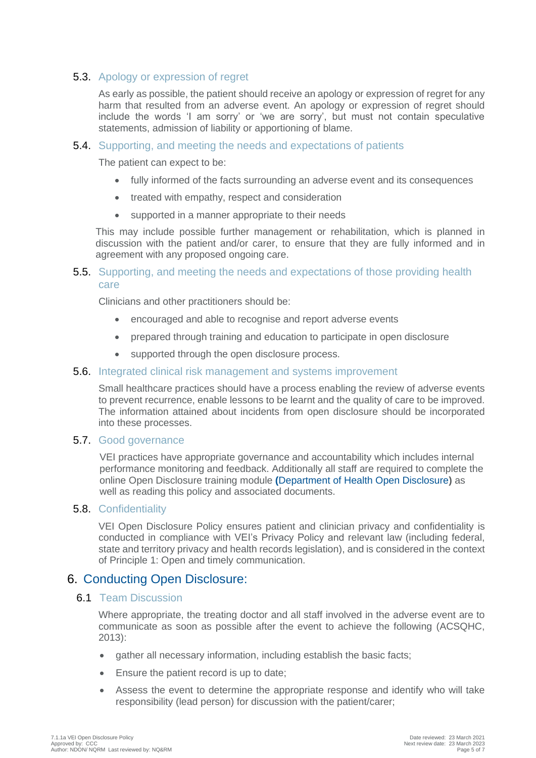#### 5.3. Apology or expression of regret

As early as possible, the patient should receive an apology or expression of regret for any harm that resulted from an adverse event. An apology or expression of regret should include the words 'I am sorry' or 'we are sorry', but must not contain speculative statements, admission of liability or apportioning of blame.

#### 5.4. Supporting, and meeting the needs and expectations of patients

The patient can expect to be:

- fully informed of the facts surrounding an adverse event and its consequences
- treated with empathy, respect and consideration
- supported in a manner appropriate to their needs

This may include possible further management or rehabilitation, which is planned in discussion with the patient and/or carer, to ensure that they are fully informed and in agreement with any proposed ongoing care.

#### 5.5. Supporting, and meeting the needs and expectations of those providing health care

Clinicians and other practitioners should be:

- encouraged and able to recognise and report adverse events
- prepared through training and education to participate in open disclosure
- supported through the open disclosure process.

#### 5.6. Integrated clinical risk management and systems improvement

Small healthcare practices should have a process enabling the review of adverse events to prevent recurrence, enable lessons to be learnt and the quality of care to be improved. The information attained about incidents from open disclosure should be incorporated into these processes.

#### 5.7. Good governance

VEI practices have appropriate governance and accountability which includes internal performance monitoring and feedback. Additionally all staff are required to complete the online Open Disclosure training module **(**[Department of Health Open Disclosure](http://vhimsedu.health.vic.gov.au/opendisclosure/welcome.php)**)** as well as reading this policy and associated documents.

#### 5.8. Confidentiality

VEI Open Disclosure Policy ensures patient and clinician privacy and confidentiality is conducted in compliance with VEI's Privacy Policy and relevant law (including federal, state and territory privacy and health records legislation), and is considered in the context of Principle 1: Open and timely communication.

#### 6. Conducting Open Disclosure:

#### 6.1 Team Discussion

Where appropriate, the treating doctor and all staff involved in the adverse event are to communicate as soon as possible after the event to achieve the following (ACSQHC, 2013):

- gather all necessary information, including establish the basic facts;
- Ensure the patient record is up to date;
- Assess the event to determine the appropriate response and identify who will take responsibility (lead person) for discussion with the patient/carer;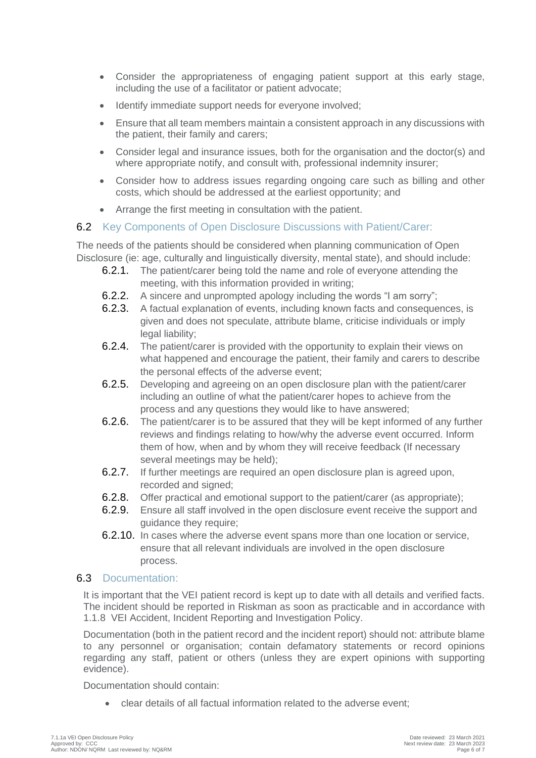- Consider the appropriateness of engaging patient support at this early stage, including the use of a facilitator or patient advocate;
- Identify immediate support needs for everyone involved;
- Ensure that all team members maintain a consistent approach in any discussions with the patient, their family and carers;
- Consider legal and insurance issues, both for the organisation and the doctor(s) and where appropriate notify, and consult with, professional indemnity insurer;
- Consider how to address issues regarding ongoing care such as billing and other costs, which should be addressed at the earliest opportunity; and
- Arrange the first meeting in consultation with the patient.

#### 6.2 Key Components of Open Disclosure Discussions with Patient/Carer:

The needs of the patients should be considered when planning communication of Open Disclosure (ie: age, culturally and linguistically diversity, mental state), and should include:

- 6.2.1. The patient/carer being told the name and role of everyone attending the meeting, with this information provided in writing;
- 6.2.2. A sincere and unprompted apology including the words "I am sorry";
- 6.2.3. A factual explanation of events, including known facts and consequences, is given and does not speculate, attribute blame, criticise individuals or imply legal liability;
- 6.2.4. The patient/carer is provided with the opportunity to explain their views on what happened and encourage the patient, their family and carers to describe the personal effects of the adverse event;
- 6.2.5. Developing and agreeing on an open disclosure plan with the patient/carer including an outline of what the patient/carer hopes to achieve from the process and any questions they would like to have answered;
- 6.2.6. The patient/carer is to be assured that they will be kept informed of any further reviews and findings relating to how/why the adverse event occurred. Inform them of how, when and by whom they will receive feedback (If necessary several meetings may be held);
- 6.2.7. If further meetings are required an open disclosure plan is agreed upon, recorded and signed;
- 6.2.8. Offer practical and emotional support to the patient/carer (as appropriate);
- 6.2.9. Ensure all staff involved in the open disclosure event receive the support and guidance they require;
- 6.2.10. In cases where the adverse event spans more than one location or service, ensure that all relevant individuals are involved in the open disclosure process.

#### 6.3 Documentation:

It is important that the VEI patient record is kept up to date with all details and verified facts. The incident should be reported in Riskman as soon as practicable and in accordance with 1.1.8 VEI Accident, Incident Reporting and Investigation Policy.

Documentation (both in the patient record and the incident report) should not: attribute blame to any personnel or organisation; contain defamatory statements or record opinions regarding any staff, patient or others (unless they are expert opinions with supporting evidence).

Documentation should contain:

• clear details of all factual information related to the adverse event;